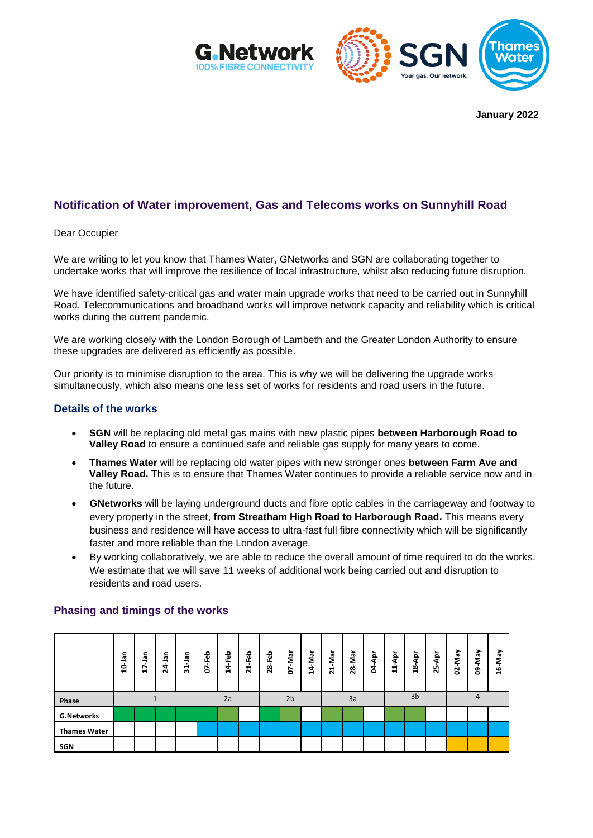



**January 2022**

# **Notification of Water improvement, Gas and Telecoms works on Sunnyhill Road**

Dear Occupier

We are writing to let you know that Thames Water, GNetworks and SGN are collaborating together to undertake works that will improve the resilience of local infrastructure, whilst also reducing future disruption.

We have identified safety-critical gas and water main upgrade works that need to be carried out in Sunnyhill Road. Telecommunications and broadband works will improve network capacity and reliability which is critical works during the current pandemic.

We are working closely with the London Borough of Lambeth and the Greater London Authority to ensure these upgrades are delivered as efficiently as possible.

Our priority is to minimise disruption to the area. This is why we will be delivering the upgrade works simultaneously, which also means one less set of works for residents and road users in the future.

#### **Details of the works**

- **SGN** will be replacing old metal gas mains with new plastic pipes **between Harborough Road to Valley Road** to ensure a continued safe and reliable gas supply for many years to come.
- **Thames Water** will be replacing old water pipes with new stronger ones **between Farm Ave and Valley Road.** This is to ensure that Thames Water continues to provide a reliable service now and in the future.
- **GNetworks** will be laying underground ducts and fibre optic cables in the carriageway and footway to every property in the street, **from Streatham High Road to Harborough Road.** This means every business and residence will have access to ultra-fast full fibre connectivity which will be significantly faster and more reliable than the London average.
- By working collaboratively, we are able to reduce the overall amount of time required to do the works. We estimate that we will save 11 weeks of additional work being carried out and disruption to residents and road users.

|                     | ᇹ<br>្ព | 을<br>∼<br>$\blacksquare$ | <b>Jan</b><br>4<br>Ñ | ᇹ<br>$\overline{31}$ | 웁<br>正<br>т<br>S | Feb<br>4 | <b>Feb</b><br>ដ | -Feb<br>28     | 07-Mar | 14-Mar | ∼<br>Ş<br>$\blacksquare$<br>$\overline{\mathbf{N}}$ | ►<br>g<br>28 | 횩<br>र्ड | 휵<br>日         | ē۹<br>$\frac{8}{1}$ | 횩<br>55 | <b>VeW-</b><br>S | VeW-<br>ġ | 16-May |
|---------------------|---------|--------------------------|----------------------|----------------------|------------------|----------|-----------------|----------------|--------|--------|-----------------------------------------------------|--------------|----------|----------------|---------------------|---------|------------------|-----------|--------|
| Phase               |         |                          |                      |                      | 2a               |          |                 | 2 <sub>b</sub> |        |        | 3a                                                  |              |          | 3 <sub>b</sub> |                     |         | 4                |           |        |
| <b>G.Networks</b>   |         |                          |                      |                      |                  |          |                 |                |        |        |                                                     |              |          |                |                     |         |                  |           |        |
| <b>Thames Water</b> |         |                          |                      |                      |                  |          |                 |                |        |        |                                                     |              |          |                |                     |         |                  |           |        |
| SGN                 |         |                          |                      |                      |                  |          |                 |                |        |        |                                                     |              |          |                |                     |         |                  |           |        |

#### **Phasing and timings of the works**